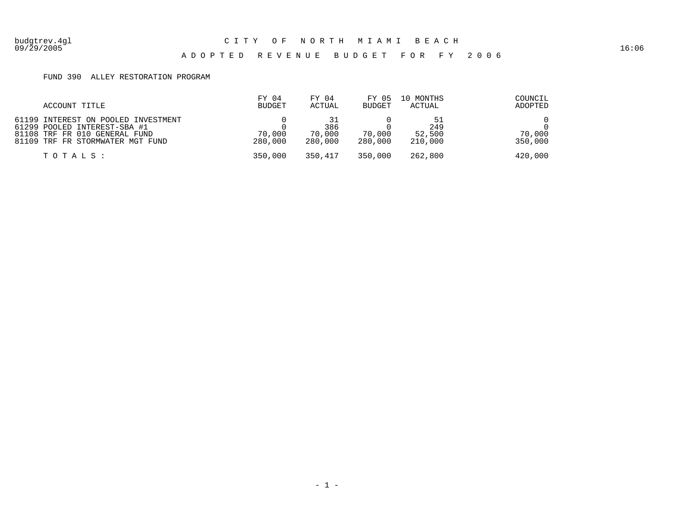#### 09/29/2005 16:06 A D O P T E D R E V E N U E B U D G E T F O R F Y 2 0 0 6

#### FUND 390 ALLEY RESTORATION PROGRAM

| ACCOUNT TITLE                                                                                                                            | FY 04<br><b>BUDGET</b> | FY 04<br>ACTUAL          | FY 05<br><b>BUDGET</b> | 10 MONTHS<br>ACTUAL      | COUNCIL<br>ADOPTED |
|------------------------------------------------------------------------------------------------------------------------------------------|------------------------|--------------------------|------------------------|--------------------------|--------------------|
| 61199 INTEREST ON POOLED INVESTMENT<br>61299 POOLED INTEREST-SBA #1<br>81108 TRF FR 010 GENERAL FUND<br>81109 TRF FR STORMWATER MGT FUND | 70,000<br>280,000      | 386<br>70,000<br>280,000 | 70,000<br>280,000      | 249<br>52,500<br>210,000 | 70,000<br>350,000  |
| TOTALS:                                                                                                                                  | 350,000                | 350,417                  | 350,000                | 262,800                  | 420,000            |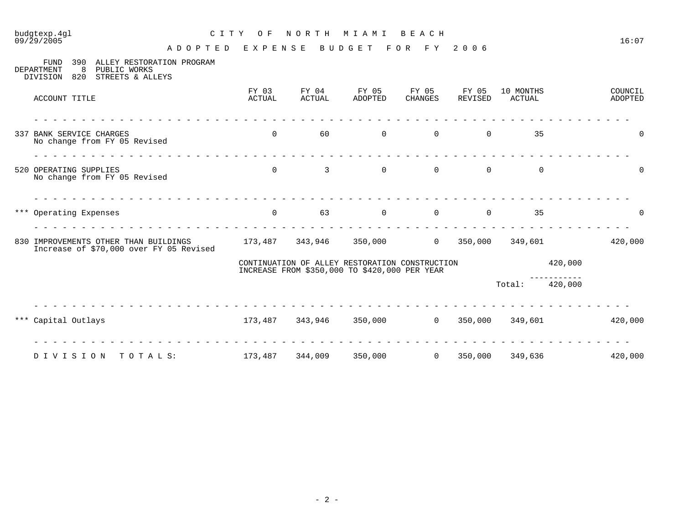### 09/29/2005 16:07

## budgtexp.4gl C I T Y O F N O R T H M I A M I B E A C H

A D O P T E D E X P E N S E B U D G E T F O R F Y 2 0 0 6

| 8<br>DEPARTMENT<br>PUBLIC WORKS<br>820<br>STREETS & ALLEYS<br>DIVISION           |                 |                                                                                                 |                  |                  |                  |                     |                      |                    |
|----------------------------------------------------------------------------------|-----------------|-------------------------------------------------------------------------------------------------|------------------|------------------|------------------|---------------------|----------------------|--------------------|
| ACCOUNT TITLE                                                                    | FY 03<br>ACTUAL | FY 04<br>ACTUAL                                                                                 | FY 05<br>ADOPTED | FY 05<br>CHANGES | FY 05<br>REVISED | 10 MONTHS<br>ACTUAL |                      | COUNCIL<br>ADOPTED |
| 337 BANK SERVICE CHARGES<br>No change from FY 05 Revised                         | $\overline{0}$  | 60                                                                                              | $\overline{0}$   | $\overline{0}$   | 0                | 35                  |                      | $\mathbf 0$        |
| 520 OPERATING SUPPLIES<br>No change from FY 05 Revised                           | $\overline{0}$  | 3                                                                                               | $\overline{0}$   | $\overline{0}$   | $\overline{0}$   | $\mathbf 0$         |                      | 0                  |
| *** Operating Expenses                                                           | $\overline{0}$  | 63                                                                                              | $\overline{0}$   | $\overline{0}$   | $\overline{0}$   | 35                  |                      | 0                  |
| 830 IMPROVEMENTS OTHER THAN BUILDINGS<br>Increase of \$70,000 over FY 05 Revised |                 | 173,487 343,946                                                                                 | 350,000          | $\overline{0}$   | 350,000          | 349,601             |                      | 420,000            |
|                                                                                  |                 | CONTINUATION OF ALLEY RESTORATION CONSTRUCTION<br>INCREASE FROM \$350,000 TO \$420,000 PER YEAR |                  |                  |                  |                     | 420,000              |                    |
|                                                                                  |                 |                                                                                                 |                  |                  |                  | Total:              | ---------<br>420,000 |                    |
| *** Capital Outlays                                                              |                 | 173,487 343,946                                                                                 | 350,000          | $\overline{0}$   | 350,000          | 349,601             |                      | 420,000            |
| DIVISION<br>TOTALS:                                                              | 173,487         | 344,009                                                                                         | 350,000          | $\overline{0}$   | 350,000          | 349,636             |                      | 420,000            |